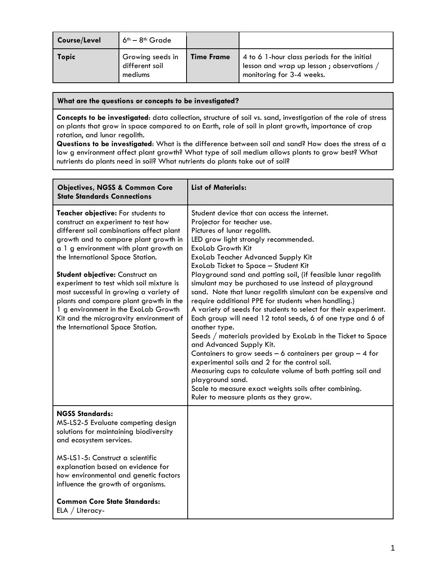| Course/Level | $6th - 8th$ Grade                             |                   |                                                                                                                      |
|--------------|-----------------------------------------------|-------------------|----------------------------------------------------------------------------------------------------------------------|
| Topic        | Growing seeds in<br>different soil<br>mediums | <b>Time Frame</b> | 4 to 6 1-hour class periods for the initial<br>lesson and wrap up lesson; observations,<br>monitoring for 3-4 weeks. |

**What are the questions or concepts to be investigated?**

**Concepts to be investigated**: data collection, structure of soil vs. sand, investigation of the role of stress on plants that grow in space compared to on Earth, role of soil in plant growth, importance of crop rotation, and lunar regolith.

**Questions to be investigated**: What is the difference between soil and sand? How does the stress of a low g environment affect plant growth? What type of soil medium allows plants to grow best? What nutrients do plants need in soil? What nutrients do plants take out of soil?

| <b>Objectives, NGSS &amp; Common Core</b><br><b>State Standards Connections</b>                                                                                                                                                                                                                                                                                                                                                                                                                                                         | <b>List of Materials:</b>                                                                                                                                                                                                                                                                                                                                                                                                                                                                                                                                                                                                                                                                                                                                                                                                                                                                                                                                                                                                                                                |
|-----------------------------------------------------------------------------------------------------------------------------------------------------------------------------------------------------------------------------------------------------------------------------------------------------------------------------------------------------------------------------------------------------------------------------------------------------------------------------------------------------------------------------------------|--------------------------------------------------------------------------------------------------------------------------------------------------------------------------------------------------------------------------------------------------------------------------------------------------------------------------------------------------------------------------------------------------------------------------------------------------------------------------------------------------------------------------------------------------------------------------------------------------------------------------------------------------------------------------------------------------------------------------------------------------------------------------------------------------------------------------------------------------------------------------------------------------------------------------------------------------------------------------------------------------------------------------------------------------------------------------|
| Teacher objective: For students to<br>construct an experiment to test how<br>different soil combinations affect plant<br>growth and to compare plant growth in<br>a 1 g environment with plant growth on<br>the International Space Station.<br>Student objective: Construct an<br>experiment to test which soil mixture is<br>most successful in growing a variety of<br>plants and compare plant growth in the<br>1 g environment in the ExoLab Growth<br>Kit and the microgravity environment of<br>the International Space Station. | Student device that can access the internet.<br>Projector for teacher use.<br>Pictures of lunar regolith.<br>LED grow light strongly recommended.<br><b>ExoLab Growth Kit</b><br><b>ExoLab Teacher Advanced Supply Kit</b><br>ExoLab Ticket to Space - Student Kit<br>Playground sand and potting soil, (if feasible lunar regolith<br>simulant may be purchased to use instead of playground<br>sand. Note that lunar regolith simulant can be expensive and<br>require additional PPE for students when handling.)<br>A variety of seeds for students to select for their experiment.<br>Each group will need 12 total seeds, 6 of one type and 6 of<br>another type.<br>Seeds / materials provided by ExoLab in the Ticket to Space<br>and Advanced Supply Kit.<br>Containers to grow seeds $-6$ containers per group $-4$ for<br>experimental soils and 2 for the control soil.<br>Measuring cups to calculate volume of both potting soil and<br>playground sand.<br>Scale to measure exact weights soils after combining.<br>Ruler to measure plants as they grow. |
| <b>NGSS Standards:</b><br>MS-LS2-5 Evaluate competing design<br>solutions for maintaining biodiversity<br>and ecosystem services.                                                                                                                                                                                                                                                                                                                                                                                                       |                                                                                                                                                                                                                                                                                                                                                                                                                                                                                                                                                                                                                                                                                                                                                                                                                                                                                                                                                                                                                                                                          |
| MS-LS1-5: Construct a scientific<br>explanation based on evidence for<br>how environmental and genetic factors<br>influence the growth of organisms.                                                                                                                                                                                                                                                                                                                                                                                    |                                                                                                                                                                                                                                                                                                                                                                                                                                                                                                                                                                                                                                                                                                                                                                                                                                                                                                                                                                                                                                                                          |
| <b>Common Core State Standards:</b><br>$ELA / Literacy-$                                                                                                                                                                                                                                                                                                                                                                                                                                                                                |                                                                                                                                                                                                                                                                                                                                                                                                                                                                                                                                                                                                                                                                                                                                                                                                                                                                                                                                                                                                                                                                          |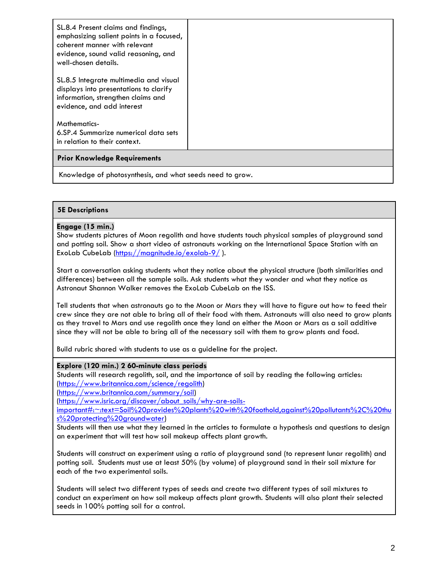| SL.8.4 Present claims and findings,<br>emphasizing salient points in a focused,<br>coherent manner with relevant<br>evidence, sound valid reasoning, and |  |  |
|----------------------------------------------------------------------------------------------------------------------------------------------------------|--|--|
| well-chosen details.                                                                                                                                     |  |  |
| SL.8.5 Integrate multimedia and visual<br>displays into presentations to clarify<br>information, strengthen claims and<br>evidence, and add interest     |  |  |
| <b>Mathematics-</b><br>6.SP.4 Summarize numerical data sets                                                                                              |  |  |
| in relation to their context.                                                                                                                            |  |  |
| <b>Prior Knowledge Requirements</b>                                                                                                                      |  |  |
| Knowledge of photosynthesis, and what seeds need to grow.                                                                                                |  |  |

# **5E Descriptions**

## **Engage (15 min.)**

Show students pictures of Moon regolith and have students touch physical samples of playground sand and potting soil. Show a short video of astronauts working on the International Space Station with an ExoLab CubeLab [\(https://magnitude.io/exolab-9/](https://magnitude.io/exolab-9/) ).

Start a conversation asking students what they notice about the physical structure (both similarities and differences) between all the sample soils. Ask students what they wonder and what they notice as Astronaut Shannon Walker removes the ExoLab CubeLab on the ISS.

Tell students that when astronauts go to the Moon or Mars they will have to figure out how to feed their crew since they are not able to bring all of their food with them. Astronauts will also need to grow plants as they travel to Mars and use regolith once they land on either the Moon or Mars as a soil additive since they will not be able to bring all of the necessary soil with them to grow plants and food.

Build rubric shared with students to use as a guideline for the project.

### **Explore (120 min.) 2 60-minute class periods**

Students will research regolith, soil, and the importance of soil by reading the following articles: [\(https://www.britannica.com/science/regolith\)](https://www.britannica.com/science/regolith)

[\(https://www.britannica.com/summary/soil\)](https://www.britannica.com/summary/soil)

[\(https://www.isric.org/discover/about\\_soils/why-are-soils-](https://www.isric.org/discover/about_soils/why-are-soils-important#:~:text=Soil%20provides%20plants%20with%20foothold,against%20pollutants%2C%20thus%20protecting%20groundwater)

[important#:~:text=Soil%20provides%20plants%20with%20foothold,against%20pollutants%2C%20thu](https://www.isric.org/discover/about_soils/why-are-soils-important#:~:text=Soil%20provides%20plants%20with%20foothold,against%20pollutants%2C%20thus%20protecting%20groundwater) [s%20protecting%20groundwater\)](https://www.isric.org/discover/about_soils/why-are-soils-important#:~:text=Soil%20provides%20plants%20with%20foothold,against%20pollutants%2C%20thus%20protecting%20groundwater)

Students will then use what they learned in the articles to formulate a hypothesis and questions to design an experiment that will test how soil makeup affects plant growth.

Students will construct an experiment using a ratio of playground sand (to represent lunar regolith) and potting soil. Students must use at least 50% (by volume) of playground sand in their soil mixture for each of the two experimental soils.

Students will select two different types of seeds and create two different types of soil mixtures to conduct an experiment on how soil makeup affects plant growth. Students will also plant their selected seeds in 100% potting soil for a control.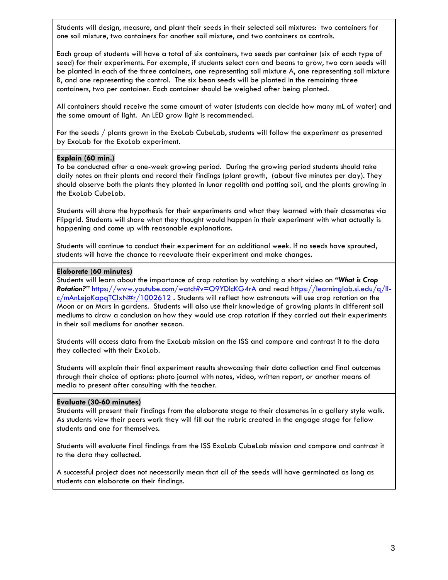Students will design, measure, and plant their seeds in their selected soil mixtures: two containers for one soil mixture, two containers for another soil mixture, and two containers as controls.

Each group of students will have a total of six containers, two seeds per container (six of each type of seed) for their experiments. For example, if students select corn and beans to grow, two corn seeds will be planted in each of the three containers, one representing soil mixture A, one representing soil mixture B, and one representing the control. The six bean seeds will be planted in the remaining three containers, two per container. Each container should be weighed after being planted.

All containers should receive the same amount of water (students can decide how many mL of water) and the same amount of light. An LED grow light is recommended.

For the seeds / plants grown in the ExoLab CubeLab, students will follow the experiment as presented by ExoLab for the ExoLab experiment.

### **Explain (60 min.)**

To be conducted after a one-week growing period. During the growing period students should take daily notes on their plants and record their findings (plant growth, (about five minutes per day). They should observe both the plants they planted in lunar regolith and potting soil, and the plants growing in the ExoLab CubeLab.

Students will share the hypothesis for their experiments and what they learned with their classmates via Flipgrid. Students will share what they thought would happen in their experiment with what actually is happening and come up with reasonable explanations.

Students will continue to conduct their experiment for an additional week. If no seeds have sprouted, students will have the chance to reevaluate their experiment and make changes.

### **Elaborate (60 minutes)**

Students will learn about the importance of crop rotation by watching a short video on *"What is Crop Rotation?"* <https://www.youtube.com/watch?v=O9YDlcKG4rA> and read [https://learninglab.si.edu/q/ll](https://learninglab.si.edu/q/ll-c/mAnLejoKapqTClxN#r/1002612)c/mAnLejoKapaTClxN#r/1002612. Students will reflect how astronauts will use crop rotation on the Moon or on Mars in gardens. Students will also use their knowledge of growing plants in different soil mediums to draw a conclusion on how they would use crop rotation if they carried out their experiments in their soil mediums for another season.

Students will access data from the ExoLab mission on the ISS and compare and contrast it to the data they collected with their ExoLab.

Students will explain their final experiment results showcasing their data collection and final outcomes through their choice of options: photo journal with notes, video, written report, or another means of media to present after consulting with the teacher.

### **Evaluate (30-60 minutes)**

Students will present their findings from the elaborate stage to their classmates in a gallery style walk. As students view their peers work they will fill out the rubric created in the engage stage for fellow students and one for themselves.

Students will evaluate final findings from the ISS ExoLab CubeLab mission and compare and contrast it to the data they collected.

A successful project does not necessarily mean that all of the seeds will have germinated as long as students can elaborate on their findings.